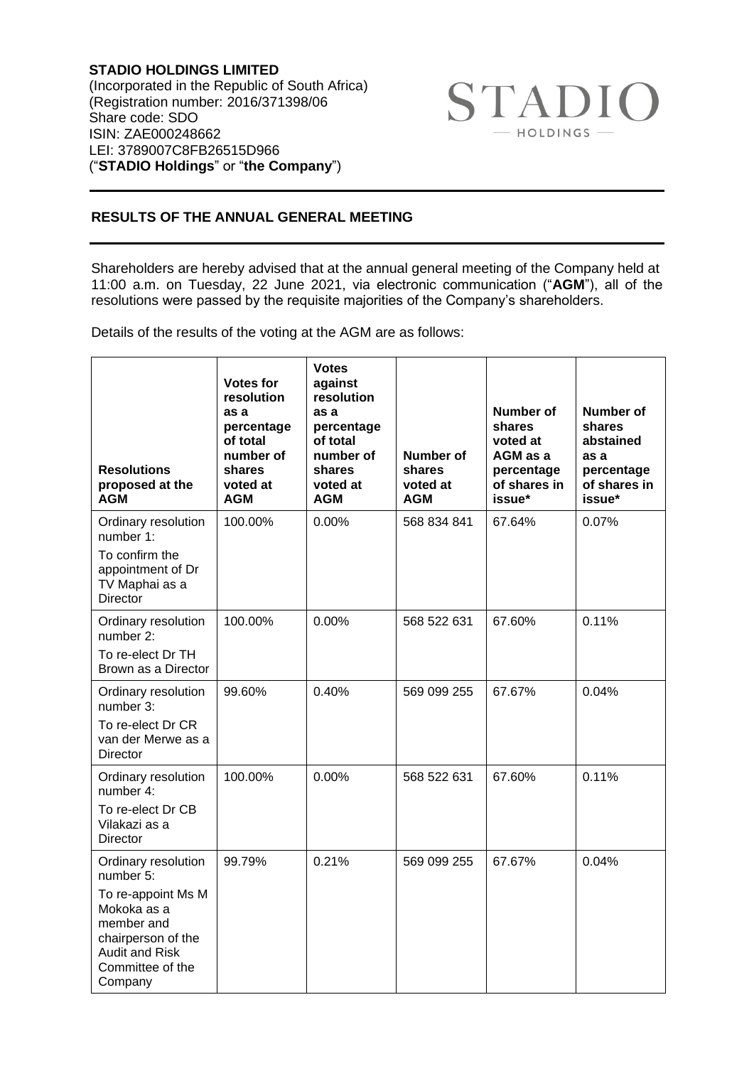**STADIO HOLDINGS LIMITED** (Incorporated in the Republic of South Africa) (Registration number: 2016/371398/06 Share code: SDO ISIN: ZAE000248662 LEI: 3789007C8FB26515D966 ("**STADIO Holdings**" or "**the Company**")



## **RESULTS OF THE ANNUAL GENERAL MEETING**

Shareholders are hereby advised that at the annual general meeting of the Company held at 11:00 a.m. on Tuesday, 22 June 2021, via electronic communication ("**AGM**"), all of the resolutions were passed by the requisite majorities of the Company's shareholders.

Details of the results of the voting at the AGM are as follows:

| <b>Resolutions</b><br>proposed at the<br><b>AGM</b>                                                                                                               | <b>Votes for</b><br>resolution<br>as a<br>percentage<br>of total<br>number of<br>shares<br>voted at<br><b>AGM</b> | <b>Votes</b><br>against<br>resolution<br>as a<br>percentage<br>of total<br>number of<br>shares<br>voted at<br><b>AGM</b> | <b>Number of</b><br>shares<br>voted at<br><b>AGM</b> | <b>Number of</b><br>shares<br>voted at<br>AGM as a<br>percentage<br>of shares in<br>issue* | <b>Number of</b><br>shares<br>abstained<br>as a<br>percentage<br>of shares in<br>issue* |
|-------------------------------------------------------------------------------------------------------------------------------------------------------------------|-------------------------------------------------------------------------------------------------------------------|--------------------------------------------------------------------------------------------------------------------------|------------------------------------------------------|--------------------------------------------------------------------------------------------|-----------------------------------------------------------------------------------------|
| Ordinary resolution<br>number 1:<br>To confirm the<br>appointment of Dr<br>TV Maphai as a<br><b>Director</b>                                                      | 100.00%                                                                                                           | 0.00%                                                                                                                    | 568 834 841                                          | 67.64%                                                                                     | 0.07%                                                                                   |
| Ordinary resolution<br>number 2:<br>To re-elect Dr TH<br>Brown as a Director                                                                                      | 100.00%                                                                                                           | 0.00%                                                                                                                    | 568 522 631                                          | 67.60%                                                                                     | 0.11%                                                                                   |
| Ordinary resolution<br>number 3:<br>To re-elect Dr CR<br>van der Merwe as a<br>Director                                                                           | 99.60%                                                                                                            | 0.40%                                                                                                                    | 569 099 255                                          | 67.67%                                                                                     | 0.04%                                                                                   |
| Ordinary resolution<br>number 4:<br>To re-elect Dr CB<br>Vilakazi as a<br>Director                                                                                | 100.00%                                                                                                           | 0.00%                                                                                                                    | 568 522 631                                          | 67.60%                                                                                     | 0.11%                                                                                   |
| Ordinary resolution<br>number 5:<br>To re-appoint Ms M<br>Mokoka as a<br>member and<br>chairperson of the<br><b>Audit and Risk</b><br>Committee of the<br>Company | 99.79%                                                                                                            | 0.21%                                                                                                                    | 569 099 255                                          | 67.67%                                                                                     | 0.04%                                                                                   |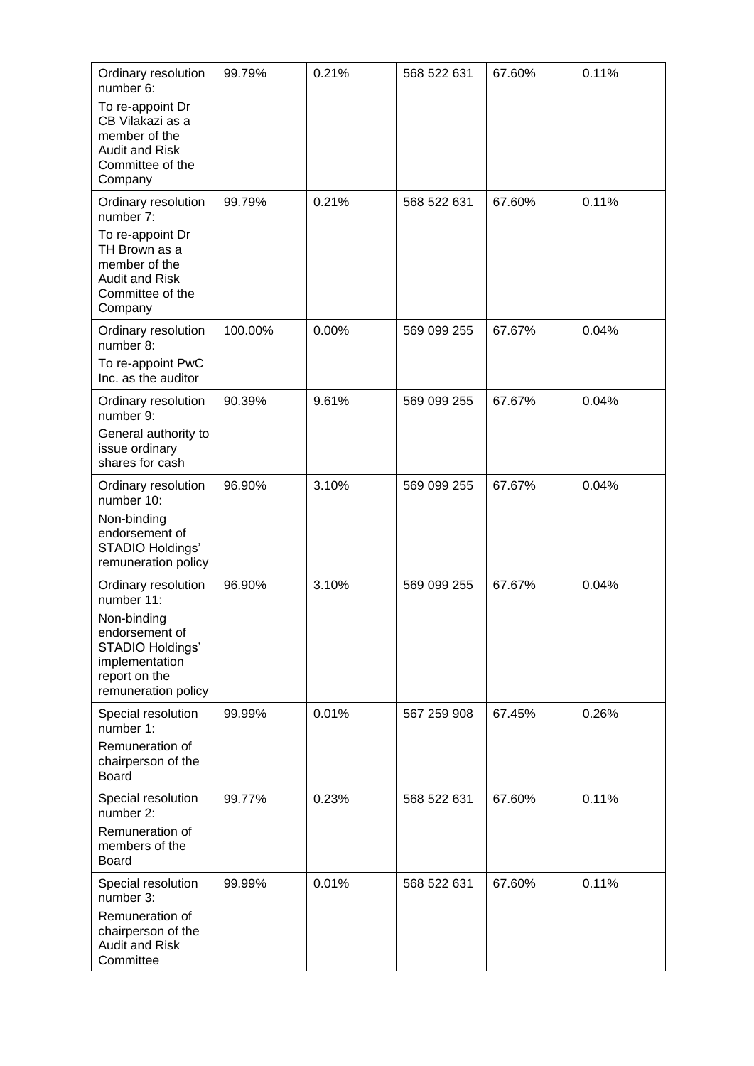| Ordinary resolution<br>number 6:<br>To re-appoint Dr<br>CB Vilakazi as a                                                                         | 99.79%  | 0.21% | 568 522 631 | 67.60% | 0.11% |
|--------------------------------------------------------------------------------------------------------------------------------------------------|---------|-------|-------------|--------|-------|
| member of the<br><b>Audit and Risk</b><br>Committee of the<br>Company                                                                            |         |       |             |        |       |
| Ordinary resolution<br>number 7:                                                                                                                 | 99.79%  | 0.21% | 568 522 631 | 67.60% | 0.11% |
| To re-appoint Dr<br>TH Brown as a<br>member of the<br><b>Audit and Risk</b><br>Committee of the<br>Company                                       |         |       |             |        |       |
| Ordinary resolution<br>number 8:<br>To re-appoint PwC                                                                                            | 100.00% | 0.00% | 569 099 255 | 67.67% | 0.04% |
| Inc. as the auditor                                                                                                                              |         |       |             |        |       |
| Ordinary resolution<br>number 9:                                                                                                                 | 90.39%  | 9.61% | 569 099 255 | 67.67% | 0.04% |
| General authority to<br>issue ordinary<br>shares for cash                                                                                        |         |       |             |        |       |
| Ordinary resolution<br>number 10:<br>Non-binding<br>endorsement of<br>STADIO Holdings'<br>remuneration policy                                    | 96.90%  | 3.10% | 569 099 255 | 67.67% | 0.04% |
| Ordinary resolution<br>number 11:<br>Non-binding<br>endorsement of<br>STADIO Holdings'<br>implementation<br>report on the<br>remuneration policy | 96.90%  | 3.10% | 569 099 255 | 67.67% | 0.04% |
| Special resolution<br>number 1:<br>Remuneration of<br>chairperson of the<br><b>Board</b>                                                         | 99.99%  | 0.01% | 567 259 908 | 67.45% | 0.26% |
| Special resolution<br>number 2:<br>Remuneration of<br>members of the<br><b>Board</b>                                                             | 99.77%  | 0.23% | 568 522 631 | 67.60% | 0.11% |
| Special resolution<br>number 3:<br>Remuneration of<br>chairperson of the<br><b>Audit and Risk</b>                                                | 99.99%  | 0.01% | 568 522 631 | 67.60% | 0.11% |
| Committee                                                                                                                                        |         |       |             |        |       |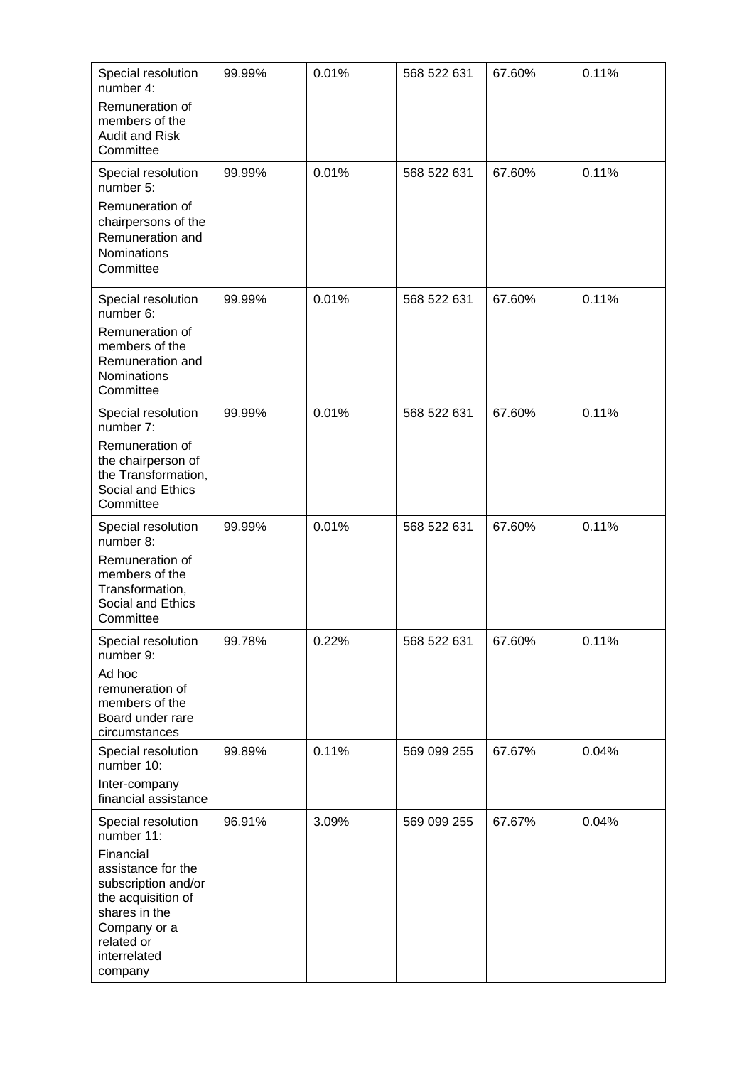| Special resolution<br>number 4:<br>Remuneration of<br>members of the<br><b>Audit and Risk</b><br>Committee                                                                                 | 99.99% | 0.01% | 568 522 631 | 67.60% | 0.11% |
|--------------------------------------------------------------------------------------------------------------------------------------------------------------------------------------------|--------|-------|-------------|--------|-------|
| Special resolution<br>number 5:<br>Remuneration of<br>chairpersons of the<br>Remuneration and<br><b>Nominations</b><br>Committee                                                           | 99.99% | 0.01% | 568 522 631 | 67.60% | 0.11% |
| Special resolution<br>number 6:<br>Remuneration of<br>members of the<br>Remuneration and<br>Nominations<br>Committee                                                                       | 99.99% | 0.01% | 568 522 631 | 67.60% | 0.11% |
| Special resolution<br>number 7:<br>Remuneration of<br>the chairperson of<br>the Transformation,<br>Social and Ethics<br>Committee                                                          | 99.99% | 0.01% | 568 522 631 | 67.60% | 0.11% |
| Special resolution<br>number 8:<br>Remuneration of<br>members of the<br>Transformation,<br>Social and Ethics<br>Committee                                                                  | 99.99% | 0.01% | 568 522 631 | 67.60% | 0.11% |
| Special resolution<br>number 9:<br>Ad hoc<br>remuneration of<br>members of the<br>Board under rare<br>circumstances                                                                        | 99.78% | 0.22% | 568 522 631 | 67.60% | 0.11% |
| Special resolution<br>number 10:<br>Inter-company<br>financial assistance                                                                                                                  | 99.89% | 0.11% | 569 099 255 | 67.67% | 0.04% |
| Special resolution<br>number 11:<br>Financial<br>assistance for the<br>subscription and/or<br>the acquisition of<br>shares in the<br>Company or a<br>related or<br>interrelated<br>company | 96.91% | 3.09% | 569 099 255 | 67.67% | 0.04% |